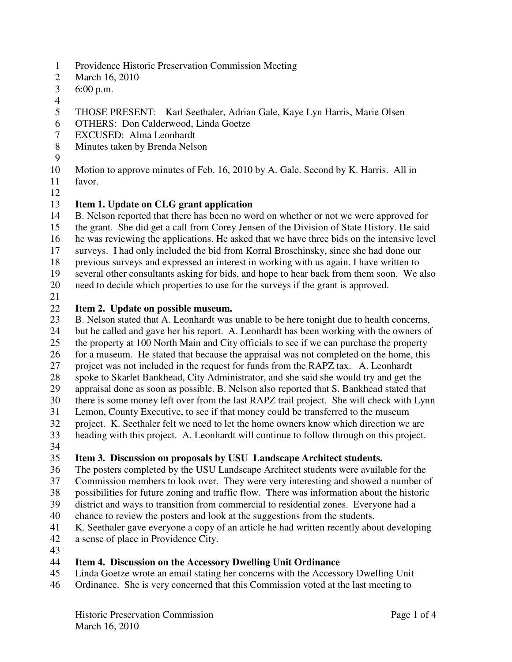- 1 Providence Historic Preservation Commission Meeting
- 2 March 16, 2010
- 3 6:00 p.m.
- 4
- 5 THOSE PRESENT: Karl Seethaler, Adrian Gale, Kaye Lyn Harris, Marie Olsen
- 6 OTHERS: Don Calderwood, Linda Goetze
- 7 EXCUSED: Alma Leonhardt
- 8 Minutes taken by Brenda Nelson
- 9

10 Motion to approve minutes of Feb. 16, 2010 by A. Gale. Second by K. Harris. All in

- 11 favor.
- 12

# 13 **Item 1. Update on CLG grant application**

14 B. Nelson reported that there has been no word on whether or not we were approved for

15 the grant. She did get a call from Corey Jensen of the Division of State History. He said

- 16 he was reviewing the applications. He asked that we have three bids on the intensive level
- 17 surveys. I had only included the bid from Korral Broschinsky, since she had done our
- 18 previous surveys and expressed an interest in working with us again. I have written to
- 19 several other consultants asking for bids, and hope to hear back from them soon. We also
- 20 need to decide which properties to use for the surveys if the grant is approved.
- 21

# 22 **Item 2. Update on possible museum.**

- 23 B. Nelson stated that A. Leonhardt was unable to be here tonight due to health concerns,
- 24 but he called and gave her his report. A. Leonhardt has been working with the owners of
- 25 the property at 100 North Main and City officials to see if we can purchase the property
- 26 for a museum. He stated that because the appraisal was not completed on the home, this
- 27 project was not included in the request for funds from the RAPZ tax. A. Leonhardt
- 28 spoke to Skarlet Bankhead, City Administrator, and she said she would try and get the
- 29 appraisal done as soon as possible. B. Nelson also reported that S. Bankhead stated that 30 there is some money left over from the last RAPZ trail project. She will check with Lynn
- 
- 31 Lemon, County Executive, to see if that money could be transferred to the museum project. K. Seethaler felt we need to let the home owners know which direction we 32 project. K. Seethaler felt we need to let the home owners know which direction we are
- 33 heading with this project. A. Leonhardt will continue to follow through on this project.
- 34

# 35 **Item 3. Discussion on proposals by USU Landscape Architect students.**

- 36 The posters completed by the USU Landscape Architect students were available for the
- 37 Commission members to look over. They were very interesting and showed a number of
- 38 possibilities for future zoning and traffic flow. There was information about the historic
- 39 district and ways to transition from commercial to residential zones. Everyone had a
- 40 chance to review the posters and look at the suggestions from the students.
- 41 K. Seethaler gave everyone a copy of an article he had written recently about developing
- 42 a sense of place in Providence City.
- 43

# 44 **Item 4. Discussion on the Accessory Dwelling Unit Ordinance**

- 45 Linda Goetze wrote an email stating her concerns with the Accessory Dwelling Unit
- 46 Ordinance. She is very concerned that this Commission voted at the last meeting to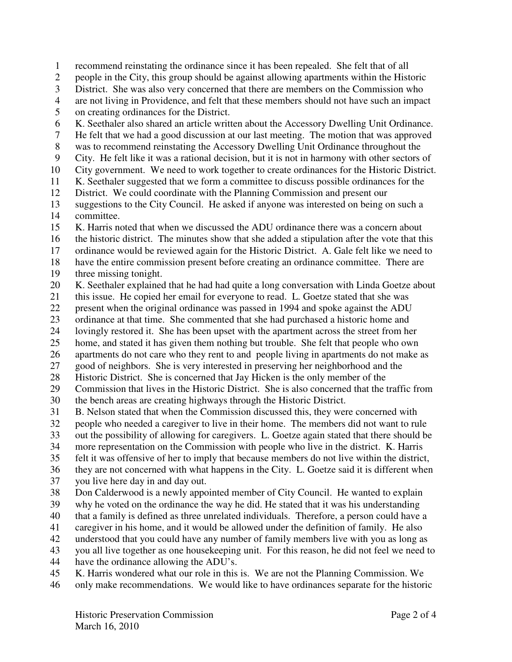1 recommend reinstating the ordinance since it has been repealed. She felt that of all 2 people in the City, this group should be against allowing apartments within the Historic 3 District. She was also very concerned that there are members on the Commission who 4 are not living in Providence, and felt that these members should not have such an impact 5 on creating ordinances for the District. 6 K. Seethaler also shared an article written about the Accessory Dwelling Unit Ordinance. 7 He felt that we had a good discussion at our last meeting. The motion that was approved 8 was to recommend reinstating the Accessory Dwelling Unit Ordinance throughout the 9 City. He felt like it was a rational decision, but it is not in harmony with other sectors of 10 City government. We need to work together to create ordinances for the Historic District. 11 K. Seethaler suggested that we form a committee to discuss possible ordinances for the 12 District. We could coordinate with the Planning Commission and present our 13 suggestions to the City Council. He asked if anyone was interested on being on such a 14 committee. 15 K. Harris noted that when we discussed the ADU ordinance there was a concern about 16 the historic district. The minutes show that she added a stipulation after the vote that this 17 ordinance would be reviewed again for the Historic District. A. Gale felt like we need to 18 have the entire commission present before creating an ordinance committee. There are 19 three missing tonight. 20 K. Seethaler explained that he had had quite a long conversation with Linda Goetze about 21 this issue. He copied her email for everyone to read. L. Goetze stated that she was 22 present when the original ordinance was passed in 1994 and spoke against the ADU 23 ordinance at that time. She commented that she had purchased a historic home and lovingly restored it. She has been upset with the apartment across the street from he lovingly restored it. She has been upset with the apartment across the street from her 25 home, and stated it has given them nothing but trouble. She felt that people who own 26 apartments do not care who they rent to and people living in apartments do not make as 27 good of neighbors. She is very interested in preserving her neighborhood and the 28 Historic District. She is concerned that Jay Hicken is the only member of the 29 Commission that lives in the Historic District. She is also concerned that the traffic from 30 the bench areas are creating highways through the Historic District. 31 B. Nelson stated that when the Commission discussed this, they were concerned with 32 people who needed a caregiver to live in their home. The members did not want to rule 33 out the possibility of allowing for caregivers. L. Goetze again stated that there should be 34 more representation on the Commission with people who live in the district. K. Harris 35 felt it was offensive of her to imply that because members do not live within the district, 36 they are not concerned with what happens in the City. L. Goetze said it is different when 37 you live here day in and day out. 38 Don Calderwood is a newly appointed member of City Council. He wanted to explain 39 why he voted on the ordinance the way he did. He stated that it was his understanding 40 that a family is defined as three unrelated individuals. Therefore, a person could have a 41 caregiver in his home, and it would be allowed under the definition of family. He also 42 understood that you could have any number of family members live with you as long as 43 you all live together as one housekeeping unit. For this reason, he did not feel we need to 44 have the ordinance allowing the ADU's. 45 K. Harris wondered what our role in this is. We are not the Planning Commission. We 46 only make recommendations. We would like to have ordinances separate for the historic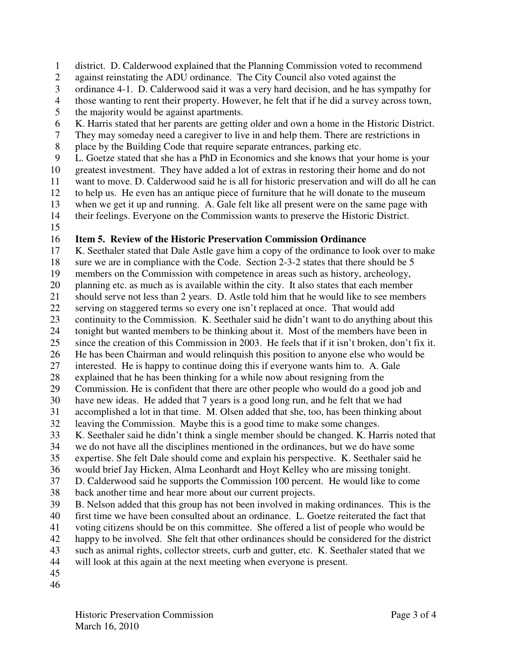1 district. D. Calderwood explained that the Planning Commission voted to recommend

- 2 against reinstating the ADU ordinance. The City Council also voted against the
- 3 ordinance 4-1. D. Calderwood said it was a very hard decision, and he has sympathy for
- 4 those wanting to rent their property. However, he felt that if he did a survey across town,
- 5 the majority would be against apartments.
- 6 K. Harris stated that her parents are getting older and own a home in the Historic District.
- 7 They may someday need a caregiver to live in and help them. There are restrictions in
- 8 place by the Building Code that require separate entrances, parking etc.
- 9 L. Goetze stated that she has a PhD in Economics and she knows that your home is your
- 10 greatest investment. They have added a lot of extras in restoring their home and do not
- 11 want to move. D. Calderwood said he is all for historic preservation and will do all he can
- 12 to help us. He even has an antique piece of furniture that he will donate to the museum
- 13 when we get it up and running. A. Gale felt like all present were on the same page with
- 14 their feelings. Everyone on the Commission wants to preserve the Historic District.
- 15

# 16 **Item 5. Review of the Historic Preservation Commission Ordinance**

17 K. Seethaler stated that Dale Astle gave him a copy of the ordinance to look over to make 18 sure we are in compliance with the Code. Section 2-3-2 states that there should be 5

- 19 members on the Commission with competence in areas such as history, archeology,
- 20 planning etc. as much as is available within the city. It also states that each member
- 21 should serve not less than 2 years. D. Astle told him that he would like to see members
- 22 serving on staggered terms so every one isn't replaced at once. That would add
- 23 continuity to the Commission. K. Seethaler said he didn't want to do anything about this<br>24 tonight but wanted members to be thinking about it. Most of the members have been in
- tonight but wanted members to be thinking about it. Most of the members have been in
- 25 since the creation of this Commission in 2003. He feels that if it isn't broken, don't fix it. 26 He has been Chairman and would relinquish this position to anyone else who would be
- 27 interested. He is happy to continue doing this if everyone wants him to. A. Gale
- 28 explained that he has been thinking for a while now about resigning from the
- 29 Commission. He is confident that there are other people who would do a good job and
- 30 have new ideas. He added that 7 years is a good long run, and he felt that we had
- 31 accomplished a lot in that time. M. Olsen added that she, too, has been thinking about
- 32 leaving the Commission. Maybe this is a good time to make some changes.
- 33 K. Seethaler said he didn't think a single member should be changed. K. Harris noted that
- 34 we do not have all the disciplines mentioned in the ordinances, but we do have some
- 35 expertise. She felt Dale should come and explain his perspective. K. Seethaler said he
- 36 would brief Jay Hicken, Alma Leonhardt and Hoyt Kelley who are missing tonight.
- 37 D. Calderwood said he supports the Commission 100 percent. He would like to come
- 38 back another time and hear more about our current projects.
- 39 B. Nelson added that this group has not been involved in making ordinances. This is the 40 first time we have been consulted about an ordinance. L. Goetze reiterated the fact that 41 voting citizens should be on this committee. She offered a list of people who would be
- 42 happy to be involved. She felt that other ordinances should be considered for the district
- 43 such as animal rights, collector streets, curb and gutter, etc. K. Seethaler stated that we
- 44 will look at this again at the next meeting when everyone is present.
- 45
- 46